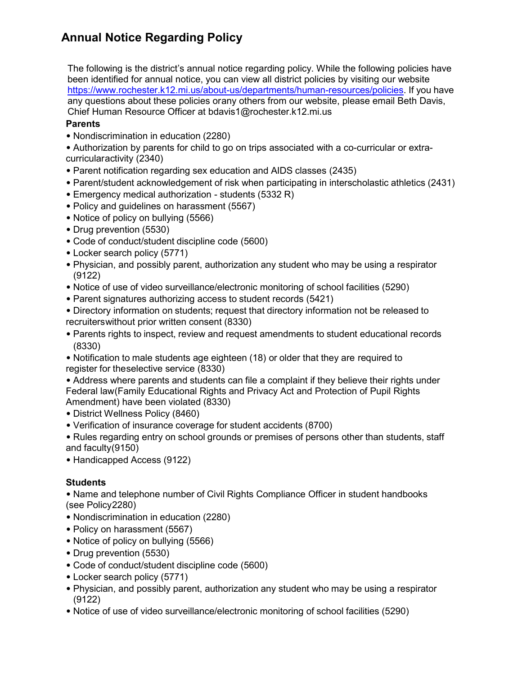## **Annual Notice Regarding Policy**

The following is the district's annual notice regarding policy. While the following policies have been identified for annual notice, you can view all district policies by visiting our website [https://www.rochester.k12.mi.us/about-us/departments/human-resources/policies.](https://www.rochester.k12.mi.us/about-us/departments/human-resources/policies) If you have any questions about these policies orany others from our website, please email Beth Davis, Chief Human Resource Officer at [bdavis1@rochester.k12.mi.us](mailto:bdavis1@rochester.k12.mi.us)

## **Parents**

• Nondiscrimination in education (2280)

• Authorization by parents for child to go on trips associated with a co-curricular or extracurricularactivity (2340)

- Parent notification regarding sex education and AIDS classes (2435)
- Parent/student acknowledgement of risk when participating in interscholastic athletics (2431)
- Emergency medical authorization students (5332 R)
- Policy and guidelines on harassment (5567)
- Notice of policy on bullying (5566)
- Drug prevention (5530)
- Code of conduct/student discipline code (5600)
- Locker search policy (5771)
- Physician, and possibly parent, authorization any student who may be using a respirator (9122)
- Notice of use of video surveillance/electronic monitoring of school facilities (5290)
- Parent signatures authorizing access to student records (5421)
- Directory information on students; request that directory information not be released to recruiterswithout prior written consent (8330)
- Parents rights to inspect, review and request amendments to student educational records (8330)
- Notification to male students age eighteen (18) or older that they are required to register for theselective service (8330)
- Address where parents and students can file a complaint if they believe their rights under Federal law(Family Educational Rights and Privacy Act and Protection of Pupil Rights Amendment) have been violated (8330)
- District Wellness Policy (8460)
- Verification of insurance coverage for student accidents (8700)
- Rules regarding entry on school grounds or premises of persons other than students, staff and faculty(9150)
- Handicapped Access (9122)

## **Students**

• Name and telephone number of Civil Rights Compliance Officer in student handbooks (see Policy2280)

- Nondiscrimination in education (2280)
- Policy on harassment (5567)
- Notice of policy on bullying (5566)
- Drug prevention (5530)
- Code of conduct/student discipline code (5600)
- Locker search policy (5771)
- Physician, and possibly parent, authorization any student who may be using a respirator (9122)
- Notice of use of video surveillance/electronic monitoring of school facilities (5290)